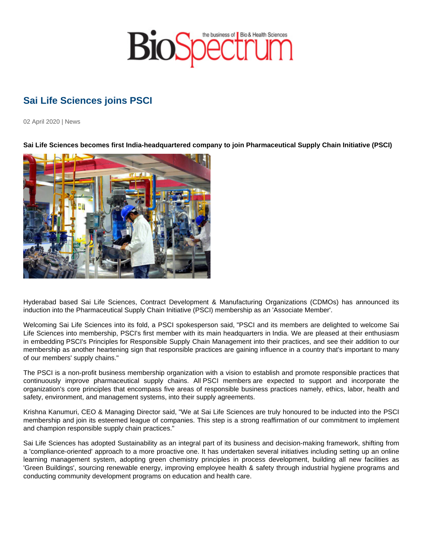## Sai Life Sciences joins PSCI

02 April 2020 | News

Sai Life Sciences becomes first India-headquartered company to join Pharmaceutical Supply Chain Initiative (PSCI)

Hyderabad based Sai Life Sciences, Contract Development & Manufacturing Organizations (CDMOs) has announced its induction into the Pharmaceutical Supply Chain Initiative (PSCI) membership as an 'Associate Member'.

Welcoming Sai Life Sciences into its fold, a PSCI spokesperson said, "PSCI and its members are delighted to welcome Sai Life Sciences into membership, PSCI's first member with its main headquarters in India. We are pleased at their enthusiasm in embedding PSCI's Principles for Responsible Supply Chain Management into their practices, and see their addition to our membership as another heartening sign that responsible practices are gaining influence in a country that's important to many of our members' supply chains."

The PSCI is a non-profit business membership organization with a vision to establish and promote responsible practices that continuously improve pharmaceutical supply chains. All PSCI members are expected to support and incorporate the organization's core principles that encompass five areas of responsible business practices namely, ethics, labor, health and safety, environment, and management systems, into their supply agreements.

Krishna Kanumuri, CEO & Managing Director said, "We at Sai Life Sciences are truly honoured to be inducted into the PSCI membership and join its esteemed league of companies. This step is a strong reaffirmation of our commitment to implement and champion responsible supply chain practices."

Sai Life Sciences has adopted Sustainability as an integral part of its business and decision-making framework, shifting from a 'compliance-oriented' approach to a more proactive one. It has undertaken several initiatives including setting up an online learning management system, adopting green chemistry principles in process development, building all new facilities as 'Green Buildings', sourcing renewable energy, improving employee health & safety through industrial hygiene programs and conducting community development programs on education and health care.